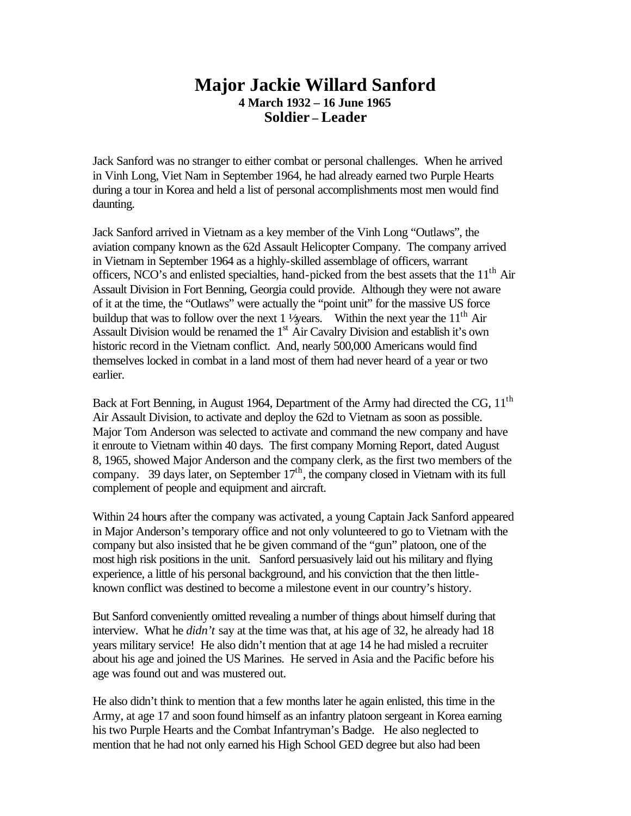## **Major Jackie Willard Sanford 4 March 1932 – 16 June 1965 Soldier – Leader**

Jack Sanford was no stranger to either combat or personal challenges. When he arrived in Vinh Long, Viet Nam in September 1964, he had already earned two Purple Hearts during a tour in Korea and held a list of personal accomplishments most men would find daunting.

Jack Sanford arrived in Vietnam as a key member of the Vinh Long "Outlaws", the aviation company known as the 62d Assault Helicopter Company. The company arrived in Vietnam in September 1964 as a highly-skilled assemblage of officers, warrant officers, NCO's and enlisted specialties, hand-picked from the best assets that the 11<sup>th</sup> Air Assault Division in Fort Benning, Georgia could provide. Although they were not aware of it at the time, the "Outlaws" were actually the "point unit" for the massive US force buildup that was to follow over the next 1  $\frac{1}{2}$  wears. Within the next year the 11<sup>th</sup> Air Assault Division would be renamed the 1<sup>st</sup> Air Cavalry Division and establish it's own historic record in the Vietnam conflict. And, nearly 500,000 Americans would find themselves locked in combat in a land most of them had never heard of a year or two earlier.

Back at Fort Benning, in August 1964, Department of the Army had directed the CG, 11<sup>th</sup> Air Assault Division, to activate and deploy the 62d to Vietnam as soon as possible. Major Tom Anderson was selected to activate and command the new company and have it enroute to Vietnam within 40 days. The first company Morning Report, dated August 8, 1965, showed Major Anderson and the company clerk, as the first two members of the company. 39 days later, on September  $17<sup>th</sup>$ , the company closed in Vietnam with its full complement of people and equipment and aircraft.

Within 24 hours after the company was activated, a young Captain Jack Sanford appeared in Major Anderson's temporary office and not only volunteered to go to Vietnam with the company but also insisted that he be given command of the "gun" platoon, one of the most high risk positions in the unit. Sanford persuasively laid out his military and flying experience, a little of his personal background, and his conviction that the then littleknown conflict was destined to become a milestone event in our country's history.

But Sanford conveniently omitted revealing a number of things about himself during that interview. What he *didn't* say at the time was that, at his age of 32, he already had 18 years military service! He also didn't mention that at age 14 he had misled a recruiter about his age and joined the US Marines. He served in Asia and the Pacific before his age was found out and was mustered out.

He also didn't think to mention that a few months later he again enlisted, this time in the Army, at age 17 and soon found himself as an infantry platoon sergeant in Korea earning his two Purple Hearts and the Combat Infantryman's Badge. He also neglected to mention that he had not only earned his High School GED degree but also had been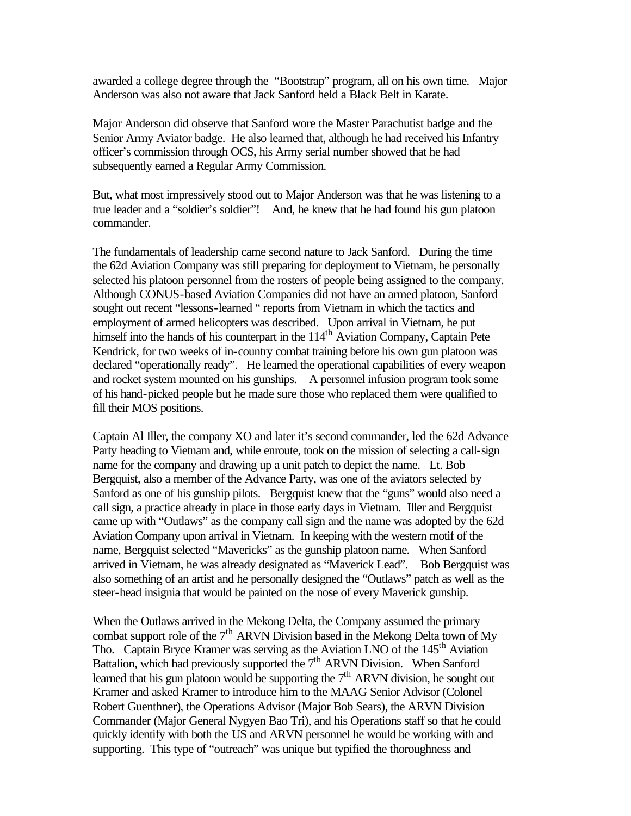awarded a college degree through the "Bootstrap" program, all on his own time. Major Anderson was also not aware that Jack Sanford held a Black Belt in Karate.

Major Anderson did observe that Sanford wore the Master Parachutist badge and the Senior Army Aviator badge. He also learned that, although he had received his Infantry officer's commission through OCS, his Army serial number showed that he had subsequently earned a Regular Army Commission.

But, what most impressively stood out to Major Anderson was that he was listening to a true leader and a "soldier's soldier"! And, he knew that he had found his gun platoon commander.

The fundamentals of leadership came second nature to Jack Sanford. During the time the 62d Aviation Company was still preparing for deployment to Vietnam, he personally selected his platoon personnel from the rosters of people being assigned to the company. Although CONUS-based Aviation Companies did not have an armed platoon, Sanford sought out recent "lessons-learned " reports from Vietnam in which the tactics and employment of armed helicopters was described. Upon arrival in Vietnam, he put himself into the hands of his counterpart in the 114<sup>th</sup> Aviation Company, Captain Pete Kendrick, for two weeks of in-country combat training before his own gun platoon was declared "operationally ready". He learned the operational capabilities of every weapon and rocket system mounted on his gunships. A personnel infusion program took some of his hand-picked people but he made sure those who replaced them were qualified to fill their MOS positions.

Captain Al Iller, the company XO and later it's second commander, led the 62d Advance Party heading to Vietnam and, while enroute, took on the mission of selecting a call-sign name for the company and drawing up a unit patch to depict the name. Lt. Bob Bergquist, also a member of the Advance Party, was one of the aviators selected by Sanford as one of his gunship pilots. Bergquist knew that the "guns" would also need a call sign, a practice already in place in those early days in Vietnam. Iller and Bergquist came up with "Outlaws" as the company call sign and the name was adopted by the 62d Aviation Company upon arrival in Vietnam. In keeping with the western motif of the name, Bergquist selected "Mavericks" as the gunship platoon name. When Sanford arrived in Vietnam, he was already designated as "Maverick Lead". Bob Bergquist was also something of an artist and he personally designed the "Outlaws" patch as well as the steer-head insignia that would be painted on the nose of every Maverick gunship.

When the Outlaws arrived in the Mekong Delta, the Company assumed the primary combat support role of the  $7<sup>th</sup>$  ARVN Division based in the Mekong Delta town of My Tho. Captain Bryce Kramer was serving as the Aviation LNO of the 145<sup>th</sup> Aviation Battalion, which had previously supported the  $7<sup>th</sup>$  ARVN Division. When Sanford learned that his gun platoon would be supporting the  $7<sup>th</sup>$  ARVN division, he sought out Kramer and asked Kramer to introduce him to the MAAG Senior Advisor (Colonel Robert Guenthner), the Operations Advisor (Major Bob Sears), the ARVN Division Commander (Major General Nygyen Bao Tri), and his Operations staff so that he could quickly identify with both the US and ARVN personnel he would be working with and supporting. This type of "outreach" was unique but typified the thoroughness and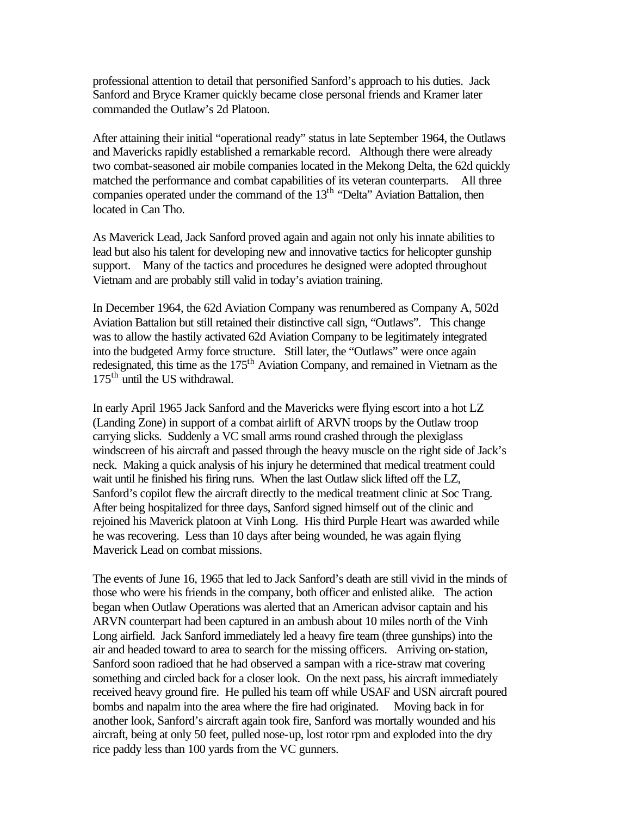professional attention to detail that personified Sanford's approach to his duties. Jack Sanford and Bryce Kramer quickly became close personal friends and Kramer later commanded the Outlaw's 2d Platoon.

After attaining their initial "operational ready" status in late September 1964, the Outlaws and Mavericks rapidly established a remarkable record. Although there were already two combat-seasoned air mobile companies located in the Mekong Delta, the 62d quickly matched the performance and combat capabilities of its veteran counterparts. All three companies operated under the command of the  $13<sup>th</sup>$  "Delta" Aviation Battalion, then located in Can Tho.

As Maverick Lead, Jack Sanford proved again and again not only his innate abilities to lead but also his talent for developing new and innovative tactics for helicopter gunship support. Many of the tactics and procedures he designed were adopted throughout Vietnam and are probably still valid in today's aviation training.

In December 1964, the 62d Aviation Company was renumbered as Company A, 502d Aviation Battalion but still retained their distinctive call sign, "Outlaws". This change was to allow the hastily activated 62d Aviation Company to be legitimately integrated into the budgeted Army force structure. Still later, the "Outlaws" were once again redesignated, this time as the 175<sup>th</sup> Aviation Company, and remained in Vietnam as the 175<sup>th</sup> until the US withdrawal.

In early April 1965 Jack Sanford and the Mavericks were flying escort into a hot LZ (Landing Zone) in support of a combat airlift of ARVN troops by the Outlaw troop carrying slicks. Suddenly a VC small arms round crashed through the plexiglass windscreen of his aircraft and passed through the heavy muscle on the right side of Jack's neck. Making a quick analysis of his injury he determined that medical treatment could wait until he finished his firing runs. When the last Outlaw slick lifted off the LZ, Sanford's copilot flew the aircraft directly to the medical treatment clinic at Soc Trang. After being hospitalized for three days, Sanford signed himself out of the clinic and rejoined his Maverick platoon at Vinh Long. His third Purple Heart was awarded while he was recovering. Less than 10 days after being wounded, he was again flying Maverick Lead on combat missions.

The events of June 16, 1965 that led to Jack Sanford's death are still vivid in the minds of those who were his friends in the company, both officer and enlisted alike. The action began when Outlaw Operations was alerted that an American advisor captain and his ARVN counterpart had been captured in an ambush about 10 miles north of the Vinh Long airfield. Jack Sanford immediately led a heavy fire team (three gunships) into the air and headed toward to area to search for the missing officers. Arriving on-station, Sanford soon radioed that he had observed a sampan with a rice-straw mat covering something and circled back for a closer look. On the next pass, his aircraft immediately received heavy ground fire. He pulled his team off while USAF and USN aircraft poured bombs and napalm into the area where the fire had originated. Moving back in for another look, Sanford's aircraft again took fire, Sanford was mortally wounded and his aircraft, being at only 50 feet, pulled nose-up, lost rotor rpm and exploded into the dry rice paddy less than 100 yards from the VC gunners.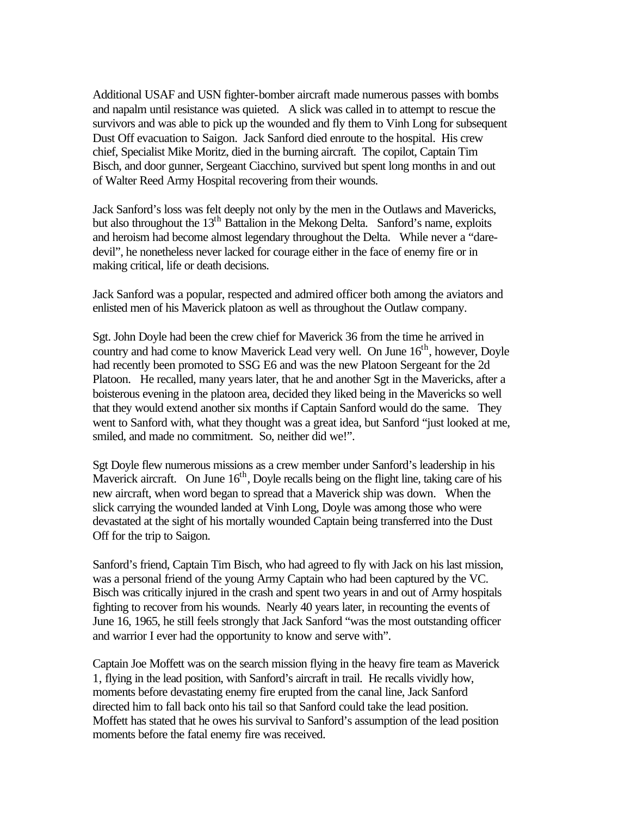Additional USAF and USN fighter-bomber aircraft made numerous passes with bombs and napalm until resistance was quieted. A slick was called in to attempt to rescue the survivors and was able to pick up the wounded and fly them to Vinh Long for subsequent Dust Off evacuation to Saigon. Jack Sanford died enroute to the hospital. His crew chief, Specialist Mike Moritz, died in the burning aircraft. The copilot, Captain Tim Bisch, and door gunner, Sergeant Ciacchino, survived but spent long months in and out of Walter Reed Army Hospital recovering from their wounds.

Jack Sanford's loss was felt deeply not only by the men in the Outlaws and Mavericks, but also throughout the  $13<sup>th</sup>$  Battalion in the Mekong Delta. Sanford's name, exploits and heroism had become almost legendary throughout the Delta. While never a "daredevil", he nonetheless never lacked for courage either in the face of enemy fire or in making critical, life or death decisions.

Jack Sanford was a popular, respected and admired officer both among the aviators and enlisted men of his Maverick platoon as well as throughout the Outlaw company.

Sgt. John Doyle had been the crew chief for Maverick 36 from the time he arrived in country and had come to know Maverick Lead very well. On June  $16<sup>th</sup>$ , however, Doyle had recently been promoted to SSG E6 and was the new Platoon Sergeant for the 2d Platoon. He recalled, many years later, that he and another Sgt in the Mavericks, after a boisterous evening in the platoon area, decided they liked being in the Mavericks so well that they would extend another six months if Captain Sanford would do the same. They went to Sanford with, what they thought was a great idea, but Sanford "just looked at me, smiled, and made no commitment. So, neither did we!".

Sgt Doyle flew numerous missions as a crew member under Sanford's leadership in his Maverick aircraft. On June  $16<sup>th</sup>$ , Doyle recalls being on the flight line, taking care of his new aircraft, when word began to spread that a Maverick ship was down. When the slick carrying the wounded landed at Vinh Long, Doyle was among those who were devastated at the sight of his mortally wounded Captain being transferred into the Dust Off for the trip to Saigon.

Sanford's friend, Captain Tim Bisch, who had agreed to fly with Jack on his last mission, was a personal friend of the young Army Captain who had been captured by the VC. Bisch was critically injured in the crash and spent two years in and out of Army hospitals fighting to recover from his wounds. Nearly 40 years later, in recounting the events of June 16, 1965, he still feels strongly that Jack Sanford "was the most outstanding officer and warrior I ever had the opportunity to know and serve with".

Captain Joe Moffett was on the search mission flying in the heavy fire team as Maverick 1, flying in the lead position, with Sanford's aircraft in trail. He recalls vividly how, moments before devastating enemy fire erupted from the canal line, Jack Sanford directed him to fall back onto his tail so that Sanford could take the lead position. Moffett has stated that he owes his survival to Sanford's assumption of the lead position moments before the fatal enemy fire was received.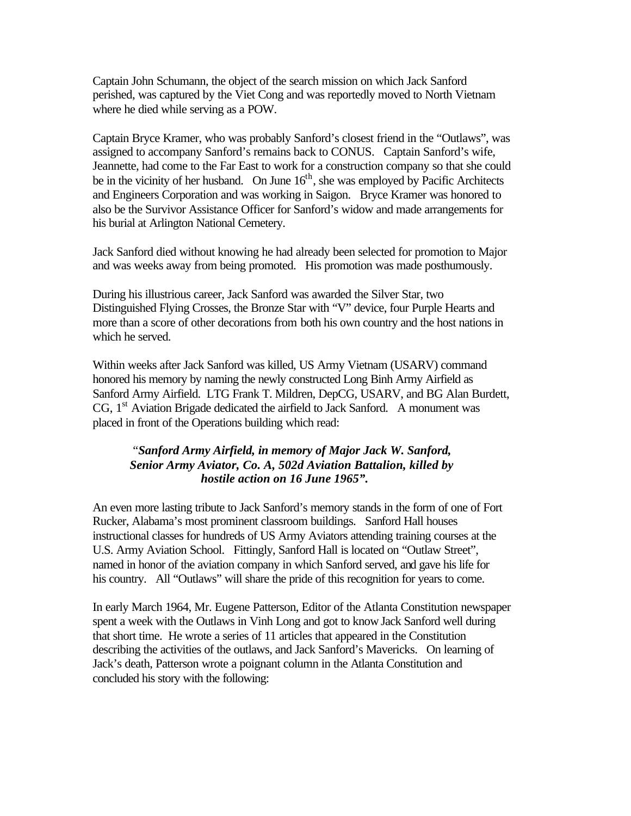Captain John Schumann, the object of the search mission on which Jack Sanford perished, was captured by the Viet Cong and was reportedly moved to North Vietnam where he died while serving as a POW.

Captain Bryce Kramer, who was probably Sanford's closest friend in the "Outlaws", was assigned to accompany Sanford's remains back to CONUS. Captain Sanford's wife, Jeannette, had come to the Far East to work for a construction company so that she could be in the vicinity of her husband. On June  $16<sup>th</sup>$ , she was employed by Pacific Architects and Engineers Corporation and was working in Saigon. Bryce Kramer was honored to also be the Survivor Assistance Officer for Sanford's widow and made arrangements for his burial at Arlington National Cemetery.

Jack Sanford died without knowing he had already been selected for promotion to Major and was weeks away from being promoted. His promotion was made posthumously.

During his illustrious career, Jack Sanford was awarded the Silver Star, two Distinguished Flying Crosses, the Bronze Star with "V" device, four Purple Hearts and more than a score of other decorations from both his own country and the host nations in which he served.

Within weeks after Jack Sanford was killed, US Army Vietnam (USARV) command honored his memory by naming the newly constructed Long Binh Army Airfield as Sanford Army Airfield. LTG Frank T. Mildren, DepCG, USARV, and BG Alan Burdett, CG,  $1<sup>st</sup>$  Aviation Brigade dedicated the airfield to Jack Sanford. A monument was placed in front of the Operations building which read:

#### "*Sanford Army Airfield, in memory of Major Jack W. Sanford, Senior Army Aviator, Co. A, 502d Aviation Battalion, killed by hostile action on 16 June 1965".*

An even more lasting tribute to Jack Sanford's memory stands in the form of one of Fort Rucker, Alabama's most prominent classroom buildings. Sanford Hall houses instructional classes for hundreds of US Army Aviators attending training courses at the U.S. Army Aviation School. Fittingly, Sanford Hall is located on "Outlaw Street", named in honor of the aviation company in which Sanford served, and gave his life for his country. All "Outlaws" will share the pride of this recognition for years to come.

In early March 1964, Mr. Eugene Patterson, Editor of the Atlanta Constitution newspaper spent a week with the Outlaws in Vinh Long and got to know Jack Sanford well during that short time. He wrote a series of 11 articles that appeared in the Constitution describing the activities of the outlaws, and Jack Sanford's Mavericks. On learning of Jack's death, Patterson wrote a poignant column in the Atlanta Constitution and concluded his story with the following: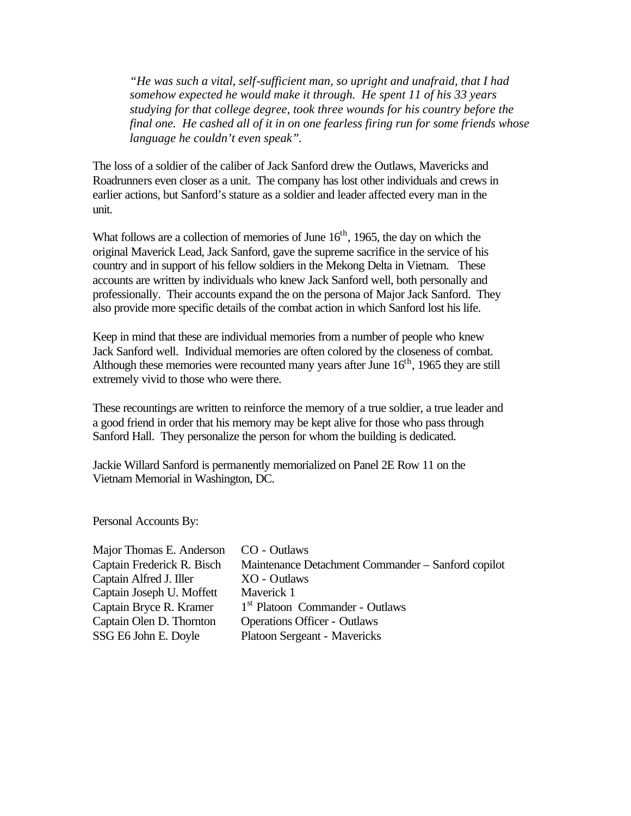*"He was such a vital, self-sufficient man, so upright and unafraid, that I had somehow expected he would make it through. He spent 11 of his 33 years studying for that college degree, took three wounds for his country before the final one. He cashed all of it in on one fearless firing run for some friends whose language he couldn't even speak".*

The loss of a soldier of the caliber of Jack Sanford drew the Outlaws, Mavericks and Roadrunners even closer as a unit. The company has lost other individuals and crews in earlier actions, but Sanford's stature as a soldier and leader affected every man in the unit.

What follows are a collection of memories of June  $16<sup>th</sup>$ , 1965, the day on which the original Maverick Lead, Jack Sanford, gave the supreme sacrifice in the service of his country and in support of his fellow soldiers in the Mekong Delta in Vietnam. These accounts are written by individuals who knew Jack Sanford well, both personally and professionally. Their accounts expand the on the persona of Major Jack Sanford. They also provide more specific details of the combat action in which Sanford lost his life.

Keep in mind that these are individual memories from a number of people who knew Jack Sanford well. Individual memories are often colored by the closeness of combat. Although these memories were recounted many years after June  $16<sup>th</sup>$ , 1965 they are still extremely vivid to those who were there.

These recountings are written to reinforce the memory of a true soldier, a true leader and a good friend in order that his memory may be kept alive for those who pass through Sanford Hall. They personalize the person for whom the building is dedicated.

Jackie Willard Sanford is permanently memorialized on Panel 2E Row 11 on the Vietnam Memorial in Washington, DC.

Personal Accounts By:

| Major Thomas E. Anderson   | CO - Outlaws                                       |
|----------------------------|----------------------------------------------------|
| Captain Frederick R. Bisch | Maintenance Detachment Commander - Sanford copilot |
| Captain Alfred J. Iller    | XO - Outlaws                                       |
| Captain Joseph U. Moffett  | Maverick 1                                         |
| Captain Bryce R. Kramer    | 1 <sup>st</sup> Platoon Commander - Outlaws        |
| Captain Olen D. Thornton   | <b>Operations Officer - Outlaws</b>                |
| SSG E6 John E. Doyle       | Platoon Sergeant - Mavericks                       |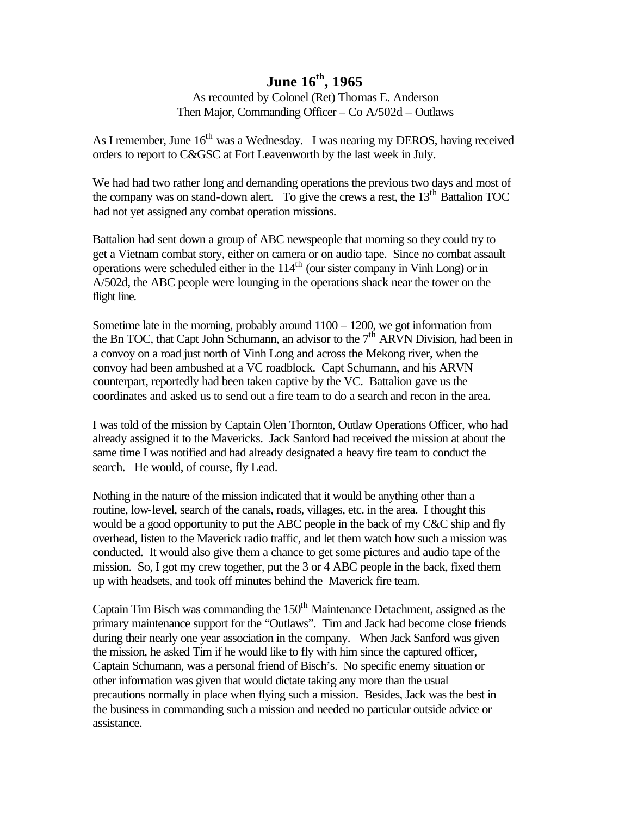As recounted by Colonel (Ret) Thomas E. Anderson Then Major, Commanding Officer – Co A/502d – Outlaws

As I remember, June  $16<sup>th</sup>$  was a Wednesday. I was nearing my DEROS, having received orders to report to C&GSC at Fort Leavenworth by the last week in July.

We had had two rather long and demanding operations the previous two days and most of the company was on stand-down alert. To give the crews a rest, the 13<sup>th</sup> Battalion TOC had not yet assigned any combat operation missions.

Battalion had sent down a group of ABC newspeople that morning so they could try to get a Vietnam combat story, either on camera or on audio tape. Since no combat assault operations were scheduled either in the  $114<sup>th</sup>$  (our sister company in Vinh Long) or in A/502d, the ABC people were lounging in the operations shack near the tower on the flight line.

Sometime late in the morning, probably around 1100 – 1200, we got information from the Bn TOC, that Capt John Schumann, an advisor to the 7<sup>th</sup> ARVN Division, had been in a convoy on a road just north of Vinh Long and across the Mekong river, when the convoy had been ambushed at a VC roadblock. Capt Schumann, and his ARVN counterpart, reportedly had been taken captive by the VC. Battalion gave us the coordinates and asked us to send out a fire team to do a search and recon in the area.

I was told of the mission by Captain Olen Thornton, Outlaw Operations Officer, who had already assigned it to the Mavericks. Jack Sanford had received the mission at about the same time I was notified and had already designated a heavy fire team to conduct the search. He would, of course, fly Lead.

Nothing in the nature of the mission indicated that it would be anything other than a routine, low-level, search of the canals, roads, villages, etc. in the area. I thought this would be a good opportunity to put the ABC people in the back of my C&C ship and fly overhead, listen to the Maverick radio traffic, and let them watch how such a mission was conducted. It would also give them a chance to get some pictures and audio tape of the mission. So, I got my crew together, put the 3 or 4 ABC people in the back, fixed them up with headsets, and took off minutes behind the Maverick fire team.

Captain Tim Bisch was commanding the  $150<sup>th</sup>$  Maintenance Detachment, assigned as the primary maintenance support for the "Outlaws". Tim and Jack had become close friends during their nearly one year association in the company. When Jack Sanford was given the mission, he asked Tim if he would like to fly with him since the captured officer, Captain Schumann, was a personal friend of Bisch's. No specific enemy situation or other information was given that would dictate taking any more than the usual precautions normally in place when flying such a mission. Besides, Jack was the best in the business in commanding such a mission and needed no particular outside advice or assistance.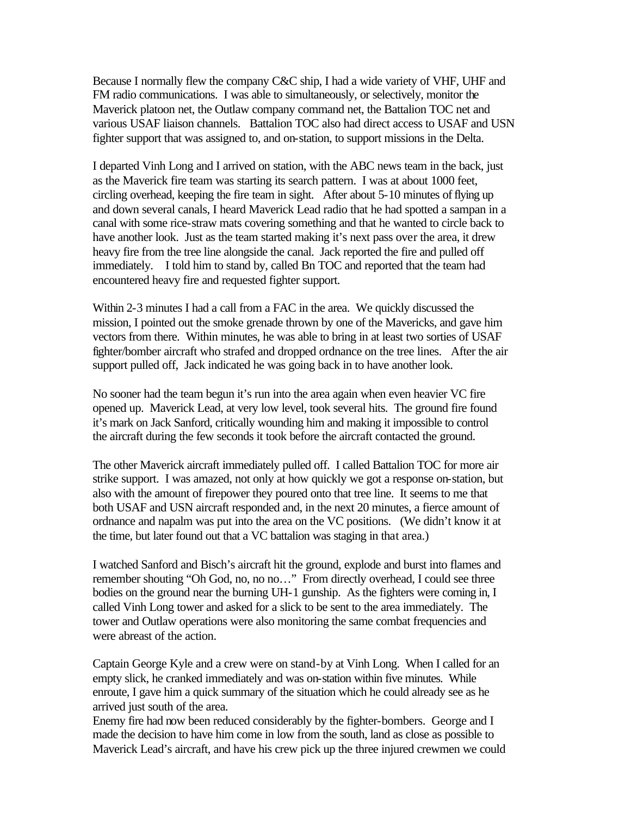Because I normally flew the company C&C ship, I had a wide variety of VHF, UHF and FM radio communications. I was able to simultaneously, or selectively, monitor the Maverick platoon net, the Outlaw company command net, the Battalion TOC net and various USAF liaison channels. Battalion TOC also had direct access to USAF and USN fighter support that was assigned to, and on-station, to support missions in the Delta.

I departed Vinh Long and I arrived on station, with the ABC news team in the back, just as the Maverick fire team was starting its search pattern. I was at about 1000 feet, circling overhead, keeping the fire team in sight. After about 5-10 minutes of flying up and down several canals, I heard Maverick Lead radio that he had spotted a sampan in a canal with some rice-straw mats covering something and that he wanted to circle back to have another look. Just as the team started making it's next pass over the area, it drew heavy fire from the tree line alongside the canal. Jack reported the fire and pulled off immediately. I told him to stand by, called Bn TOC and reported that the team had encountered heavy fire and requested fighter support.

Within 2-3 minutes I had a call from a FAC in the area. We quickly discussed the mission, I pointed out the smoke grenade thrown by one of the Mavericks, and gave him vectors from there. Within minutes, he was able to bring in at least two sorties of USAF fighter/bomber aircraft who strafed and dropped ordnance on the tree lines. After the air support pulled off, Jack indicated he was going back in to have another look.

No sooner had the team begun it's run into the area again when even heavier VC fire opened up. Maverick Lead, at very low level, took several hits. The ground fire found it's mark on Jack Sanford, critically wounding him and making it impossible to control the aircraft during the few seconds it took before the aircraft contacted the ground.

The other Maverick aircraft immediately pulled off. I called Battalion TOC for more air strike support. I was amazed, not only at how quickly we got a response on-station, but also with the amount of firepower they poured onto that tree line. It seems to me that both USAF and USN aircraft responded and, in the next 20 minutes, a fierce amount of ordnance and napalm was put into the area on the VC positions. (We didn't know it at the time, but later found out that a VC battalion was staging in that area.)

I watched Sanford and Bisch's aircraft hit the ground, explode and burst into flames and remember shouting "Oh God, no, no no…" From directly overhead, I could see three bodies on the ground near the burning UH-1 gunship. As the fighters were coming in, I called Vinh Long tower and asked for a slick to be sent to the area immediately. The tower and Outlaw operations were also monitoring the same combat frequencies and were abreast of the action.

Captain George Kyle and a crew were on stand-by at Vinh Long. When I called for an empty slick, he cranked immediately and was on-station within five minutes. While enroute, I gave him a quick summary of the situation which he could already see as he arrived just south of the area.

Enemy fire had now been reduced considerably by the fighter-bombers. George and I made the decision to have him come in low from the south, land as close as possible to Maverick Lead's aircraft, and have his crew pick up the three injured crewmen we could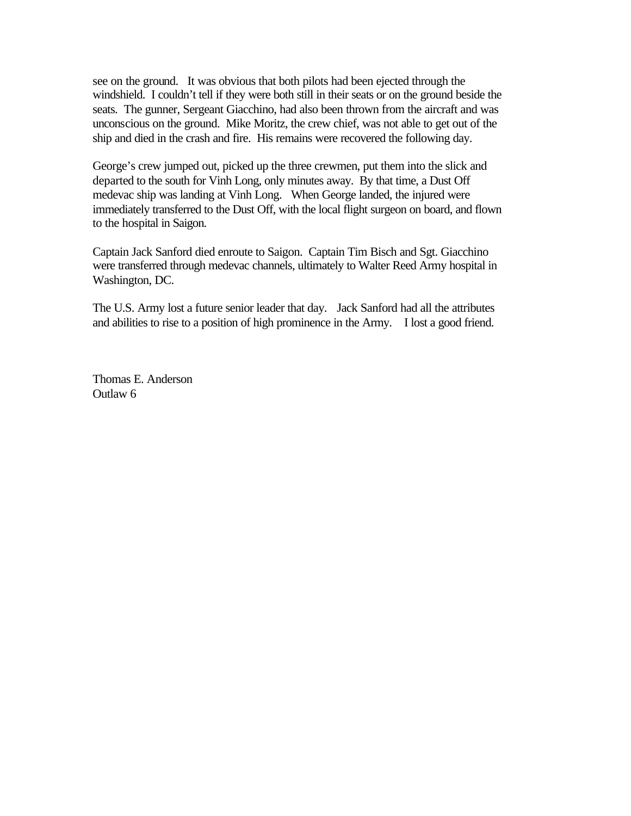see on the ground. It was obvious that both pilots had been ejected through the windshield. I couldn't tell if they were both still in their seats or on the ground beside the seats. The gunner, Sergeant Giacchino, had also been thrown from the aircraft and was unconscious on the ground. Mike Moritz, the crew chief, was not able to get out of the ship and died in the crash and fire. His remains were recovered the following day.

George's crew jumped out, picked up the three crewmen, put them into the slick and departed to the south for Vinh Long, only minutes away. By that time, a Dust Off medevac ship was landing at Vinh Long. When George landed, the injured were immediately transferred to the Dust Off, with the local flight surgeon on board, and flown to the hospital in Saigon.

Captain Jack Sanford died enroute to Saigon. Captain Tim Bisch and Sgt. Giacchino were transferred through medevac channels, ultimately to Walter Reed Army hospital in Washington, DC.

The U.S. Army lost a future senior leader that day. Jack Sanford had all the attributes and abilities to rise to a position of high prominence in the Army. I lost a good friend.

Thomas E. Anderson Outlaw 6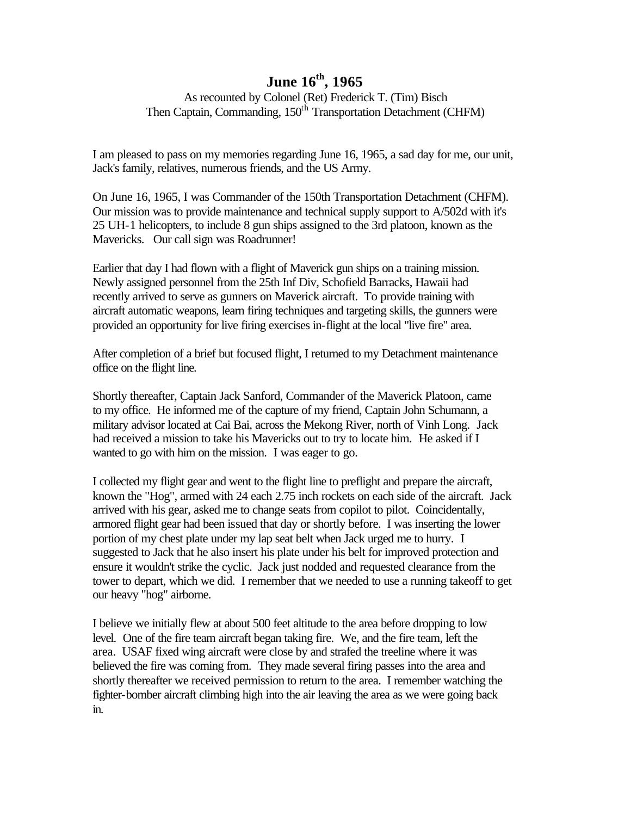As recounted by Colonel (Ret) Frederick T. (Tim) Bisch Then Captain, Commanding, 150<sup>th</sup> Transportation Detachment (CHFM)

I am pleased to pass on my memories regarding June 16, 1965, a sad day for me, our unit, Jack's family, relatives, numerous friends, and the US Army.

On June 16, 1965, I was Commander of the 150th Transportation Detachment (CHFM). Our mission was to provide maintenance and technical supply support to A/502d with it's 25 UH-1 helicopters, to include 8 gun ships assigned to the 3rd platoon, known as the Mavericks. Our call sign was Roadrunner!

Earlier that day I had flown with a flight of Maverick gun ships on a training mission. Newly assigned personnel from the 25th Inf Div, Schofield Barracks, Hawaii had recently arrived to serve as gunners on Maverick aircraft. To provide training with aircraft automatic weapons, learn firing techniques and targeting skills, the gunners were provided an opportunity for live firing exercises in-flight at the local "live fire" area.

After completion of a brief but focused flight, I returned to my Detachment maintenance office on the flight line.

Shortly thereafter, Captain Jack Sanford, Commander of the Maverick Platoon, came to my office. He informed me of the capture of my friend, Captain John Schumann, a military advisor located at Cai Bai, across the Mekong River, north of Vinh Long. Jack had received a mission to take his Mavericks out to try to locate him. He asked if I wanted to go with him on the mission. I was eager to go.

I collected my flight gear and went to the flight line to preflight and prepare the aircraft, known the "Hog", armed with 24 each 2.75 inch rockets on each side of the aircraft. Jack arrived with his gear, asked me to change seats from copilot to pilot. Coincidentally, armored flight gear had been issued that day or shortly before. I was inserting the lower portion of my chest plate under my lap seat belt when Jack urged me to hurry. I suggested to Jack that he also insert his plate under his belt for improved protection and ensure it wouldn't strike the cyclic. Jack just nodded and requested clearance from the tower to depart, which we did. I remember that we needed to use a running takeoff to get our heavy "hog" airborne.

I believe we initially flew at about 500 feet altitude to the area before dropping to low level. One of the fire team aircraft began taking fire. We, and the fire team, left the area. USAF fixed wing aircraft were close by and strafed the treeline where it was believed the fire was coming from. They made several firing passes into the area and shortly thereafter we received permission to return to the area. I remember watching the fighter-bomber aircraft climbing high into the air leaving the area as we were going back in.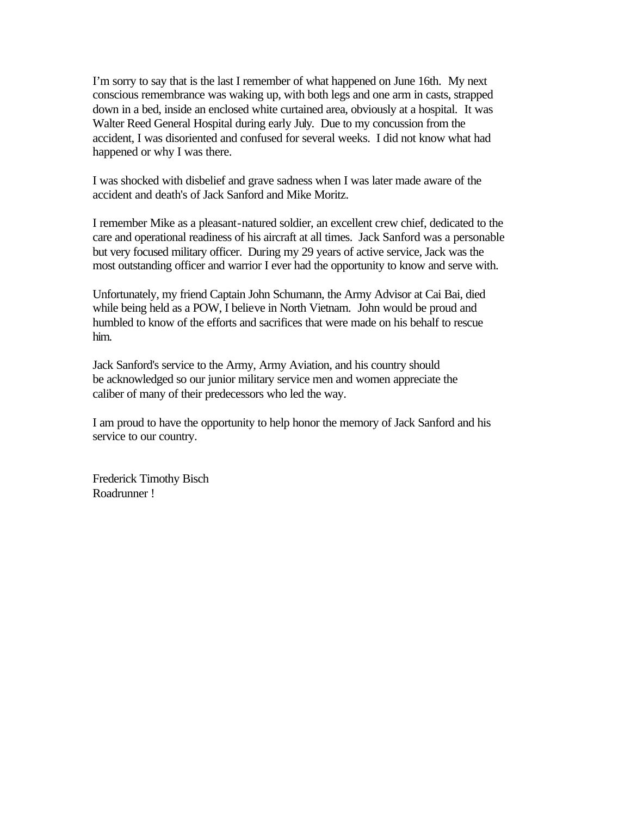I'm sorry to say that is the last I remember of what happened on June 16th. My next conscious remembrance was waking up, with both legs and one arm in casts, strapped down in a bed, inside an enclosed white curtained area, obviously at a hospital. It was Walter Reed General Hospital during early July. Due to my concussion from the accident, I was disoriented and confused for several weeks. I did not know what had happened or why I was there.

I was shocked with disbelief and grave sadness when I was later made aware of the accident and death's of Jack Sanford and Mike Moritz.

I remember Mike as a pleasant-natured soldier, an excellent crew chief, dedicated to the care and operational readiness of his aircraft at all times. Jack Sanford was a personable but very focused military officer. During my 29 years of active service, Jack was the most outstanding officer and warrior I ever had the opportunity to know and serve with.

Unfortunately, my friend Captain John Schumann, the Army Advisor at Cai Bai, died while being held as a POW, I believe in North Vietnam. John would be proud and humbled to know of the efforts and sacrifices that were made on his behalf to rescue him.

Jack Sanford's service to the Army, Army Aviation, and his country should be acknowledged so our junior military service men and women appreciate the caliber of many of their predecessors who led the way.

I am proud to have the opportunity to help honor the memory of Jack Sanford and his service to our country.

Frederick Timothy Bisch Roadrunner !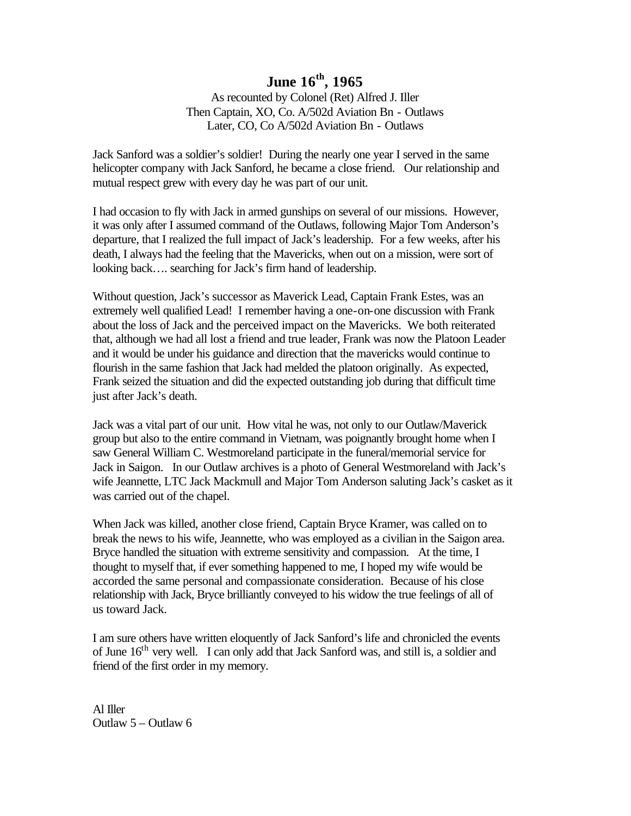As recounted by Colonel (Ret) Alfred J. Iller Then Captain, XO, Co. A/502d Aviation Bn - Outlaws Later, CO, Co A/502d Aviation Bn - Outlaws

Jack Sanford was a soldier's soldier! During the nearly one year I served in the same helicopter company with Jack Sanford, he became a close friend. Our relationship and mutual respect grew with every day he was part of our unit.

I had occasion to fly with Jack in armed gunships on several of our missions. However, it was only after I assumed command of the Outlaws, following Major Tom Anderson's departure, that I realized the full impact of Jack's leadership. For a few weeks, after his death, I always had the feeling that the Mavericks, when out on a mission, were sort of looking back…. searching for Jack's firm hand of leadership.

Without question, Jack's successor as Maverick Lead, Captain Frank Estes, was an extremely well qualified Lead! I remember having a one-on-one discussion with Frank about the loss of Jack and the perceived impact on the Mavericks. We both reiterated that, although we had all lost a friend and true leader, Frank was now the Platoon Leader and it would be under his guidance and direction that the mavericks would continue to flourish in the same fashion that Jack had melded the platoon originally. As expected, Frank seized the situation and did the expected outstanding job during that difficult time just after Jack's death.

Jack was a vital part of our unit. How vital he was, not only to our Outlaw/Maverick group but also to the entire command in Vietnam, was poignantly brought home when I saw General William C. Westmoreland participate in the funeral/memorial service for Jack in Saigon. In our Outlaw archives is a photo of General Westmoreland with Jack's wife Jeannette, LTC Jack Mackmull and Major Tom Anderson saluting Jack's casket as it was carried out of the chapel.

When Jack was killed, another close friend, Captain Bryce Kramer, was called on to break the news to his wife, Jeannette, who was employed as a civilian in the Saigon area. Bryce handled the situation with extreme sensitivity and compassion. At the time, I thought to myself that, if ever something happened to me, I hoped my wife would be accorded the same personal and compassionate consideration. Because of his close relationship with Jack, Bryce brilliantly conveyed to his widow the true feelings of all of us toward Jack.

I am sure others have written eloquently of Jack Sanford's life and chronicled the events of June 16<sup>th</sup> very well. I can only add that Jack Sanford was, and still is, a soldier and friend of the first order in my memory.

Al Iller Outlaw 5 – Outlaw 6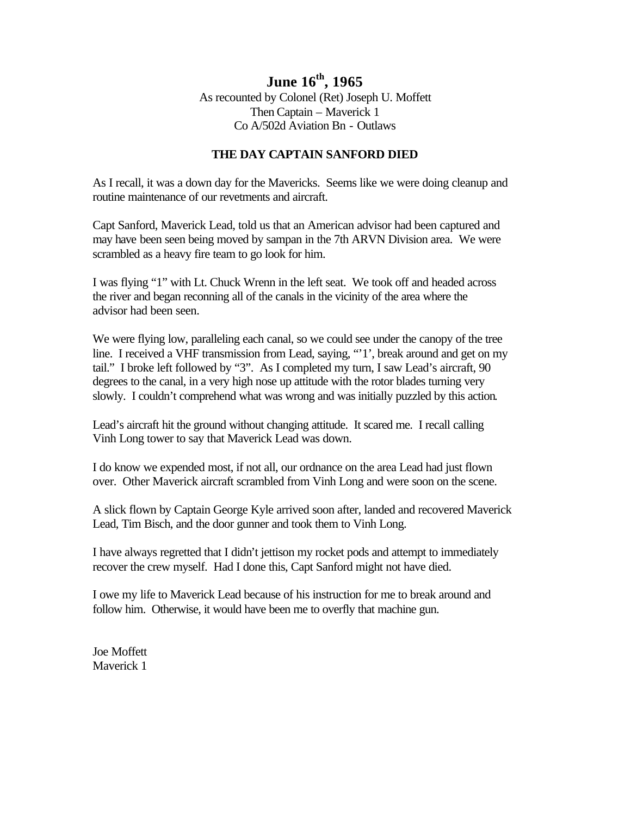### **June 16th, 1965** As recounted by Colonel (Ret) Joseph U. Moffett Then Captain – Maverick 1 Co A/502d Aviation Bn - Outlaws

#### **THE DAY CAPTAIN SANFORD DIED**

As I recall, it was a down day for the Mavericks. Seems like we were doing cleanup and routine maintenance of our revetments and aircraft.

Capt Sanford, Maverick Lead, told us that an American advisor had been captured and may have been seen being moved by sampan in the 7th ARVN Division area. We were scrambled as a heavy fire team to go look for him.

I was flying "1" with Lt. Chuck Wrenn in the left seat. We took off and headed across the river and began reconning all of the canals in the vicinity of the area where the advisor had been seen.

We were flying low, paralleling each canal, so we could see under the canopy of the tree line. I received a VHF transmission from Lead, saying, "'1', break around and get on my tail." I broke left followed by "3". As I completed my turn, I saw Lead's aircraft, 90 degrees to the canal, in a very high nose up attitude with the rotor blades turning very slowly. I couldn't comprehend what was wrong and was initially puzzled by this action.

Lead's aircraft hit the ground without changing attitude. It scared me. I recall calling Vinh Long tower to say that Maverick Lead was down.

I do know we expended most, if not all, our ordnance on the area Lead had just flown over. Other Maverick aircraft scrambled from Vinh Long and were soon on the scene.

A slick flown by Captain George Kyle arrived soon after, landed and recovered Maverick Lead, Tim Bisch, and the door gunner and took them to Vinh Long.

I have always regretted that I didn't jettison my rocket pods and attempt to immediately recover the crew myself. Had I done this, Capt Sanford might not have died.

I owe my life to Maverick Lead because of his instruction for me to break around and follow him. Otherwise, it would have been me to overfly that machine gun.

Joe Moffett Maverick 1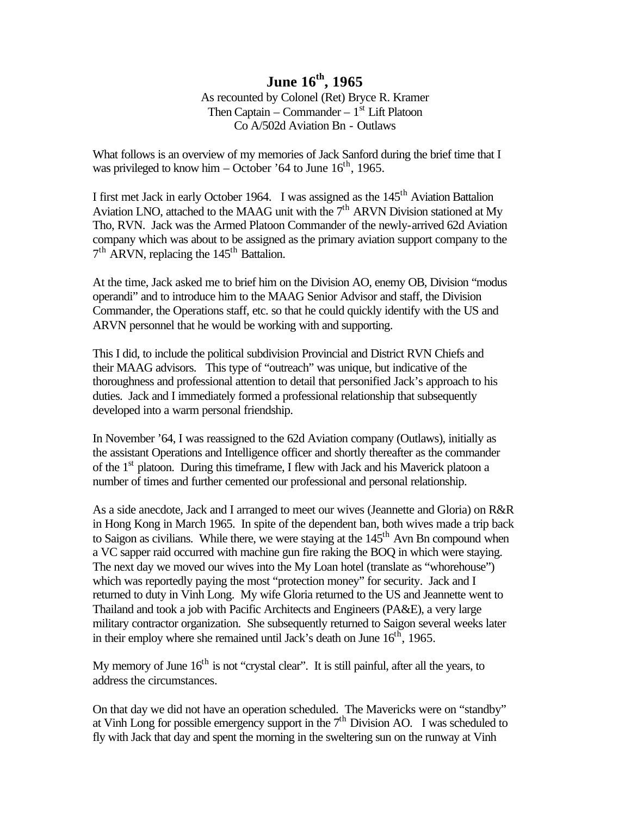As recounted by Colonel (Ret) Bryce R. Kramer Then Captain – Commander –  $1<sup>st</sup>$  Lift Platoon Co A/502d Aviation Bn - Outlaws

What follows is an overview of my memories of Jack Sanford during the brief time that I was privileged to know him – October '64 to June  $16^{th}$ , 1965.

I first met Jack in early October 1964. I was assigned as the 145<sup>th</sup> Aviation Battalion Aviation LNO, attached to the MAAG unit with the  $7<sup>th</sup>$  ARVN Division stationed at My Tho, RVN. Jack was the Armed Platoon Commander of the newly-arrived 62d Aviation company which was about to be assigned as the primary aviation support company to the 7<sup>th</sup> ARVN, replacing the 145<sup>th</sup> Battalion.

At the time, Jack asked me to brief him on the Division AO, enemy OB, Division "modus operandi" and to introduce him to the MAAG Senior Advisor and staff, the Division Commander, the Operations staff, etc. so that he could quickly identify with the US and ARVN personnel that he would be working with and supporting.

This I did, to include the political subdivision Provincial and District RVN Chiefs and their MAAG advisors. This type of "outreach" was unique, but indicative of the thoroughness and professional attention to detail that personified Jack's approach to his duties. Jack and I immediately formed a professional relationship that subsequently developed into a warm personal friendship.

In November '64, I was reassigned to the 62d Aviation company (Outlaws), initially as the assistant Operations and Intelligence officer and shortly thereafter as the commander of the  $1<sup>st</sup>$  platoon. During this timeframe, I flew with Jack and his Maverick platoon a number of times and further cemented our professional and personal relationship.

As a side anecdote, Jack and I arranged to meet our wives (Jeannette and Gloria) on R&R in Hong Kong in March 1965. In spite of the dependent ban, both wives made a trip back to Saigon as civilians. While there, we were staying at the  $145<sup>th</sup>$  Avn Bn compound when a VC sapper raid occurred with machine gun fire raking the BOQ in which were staying. The next day we moved our wives into the My Loan hotel (translate as "whorehouse") which was reportedly paying the most "protection money" for security. Jack and I returned to duty in Vinh Long. My wife Gloria returned to the US and Jeannette went to Thailand and took a job with Pacific Architects and Engineers (PA&E), a very large military contractor organization. She subsequently returned to Saigon several weeks later in their employ where she remained until Jack's death on June  $16<sup>th</sup>$ , 1965.

My memory of June  $16<sup>th</sup>$  is not "crystal clear". It is still painful, after all the years, to address the circumstances.

On that day we did not have an operation scheduled. The Mavericks were on "standby" at Vinh Long for possible emergency support in the  $7<sup>th</sup>$  Division AO. I was scheduled to fly with Jack that day and spent the morning in the sweltering sun on the runway at Vinh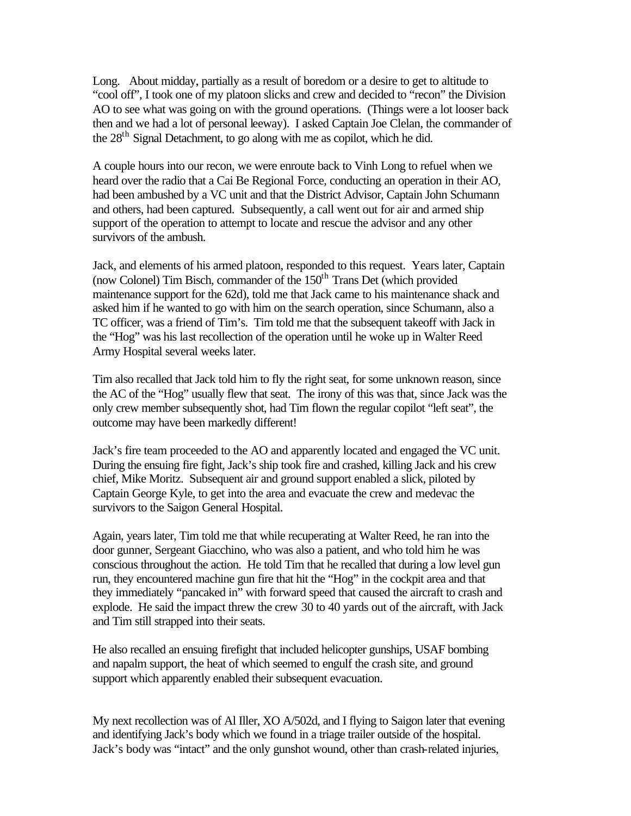Long. About midday, partially as a result of boredom or a desire to get to altitude to "cool off", I took one of my platoon slicks and crew and decided to "recon" the Division AO to see what was going on with the ground operations. (Things were a lot looser back then and we had a lot of personal leeway). I asked Captain Joe Clelan, the commander of the 28<sup>th</sup> Signal Detachment, to go along with me as copilot, which he did.

A couple hours into our recon, we were enroute back to Vinh Long to refuel when we heard over the radio that a Cai Be Regional Force, conducting an operation in their AO, had been ambushed by a VC unit and that the District Advisor, Captain John Schumann and others, had been captured. Subsequently, a call went out for air and armed ship support of the operation to attempt to locate and rescue the advisor and any other survivors of the ambush.

Jack, and elements of his armed platoon, responded to this request. Years later, Captain (now Colonel) Tim Bisch, commander of the  $150<sup>th</sup>$  Trans Det (which provided maintenance support for the 62d), told me that Jack came to his maintenance shack and asked him if he wanted to go with him on the search operation, since Schumann, also a TC officer, was a friend of Tim's. Tim told me that the subsequent takeoff with Jack in the "Hog" was his last recollection of the operation until he woke up in Walter Reed Army Hospital several weeks later.

Tim also recalled that Jack told him to fly the right seat, for some unknown reason, since the AC of the "Hog" usually flew that seat. The irony of this was that, since Jack was the only crew member subsequently shot, had Tim flown the regular copilot "left seat", the outcome may have been markedly different!

Jack's fire team proceeded to the AO and apparently located and engaged the VC unit. During the ensuing fire fight, Jack's ship took fire and crashed, killing Jack and his crew chief, Mike Moritz. Subsequent air and ground support enabled a slick, piloted by Captain George Kyle, to get into the area and evacuate the crew and medevac the survivors to the Saigon General Hospital.

Again, years later, Tim told me that while recuperating at Walter Reed, he ran into the door gunner, Sergeant Giacchino, who was also a patient, and who told him he was conscious throughout the action. He told Tim that he recalled that during a low level gun run, they encountered machine gun fire that hit the "Hog" in the cockpit area and that they immediately "pancaked in" with forward speed that caused the aircraft to crash and explode. He said the impact threw the crew 30 to 40 yards out of the aircraft, with Jack and Tim still strapped into their seats.

He also recalled an ensuing firefight that included helicopter gunships, USAF bombing and napalm support, the heat of which seemed to engulf the crash site, and ground support which apparently enabled their subsequent evacuation.

My next recollection was of Al Iller, XO A/502d, and I flying to Saigon later that evening and identifying Jack's body which we found in a triage trailer outside of the hospital. Jack's body was "intact" and the only gunshot wound, other than crash-related injuries,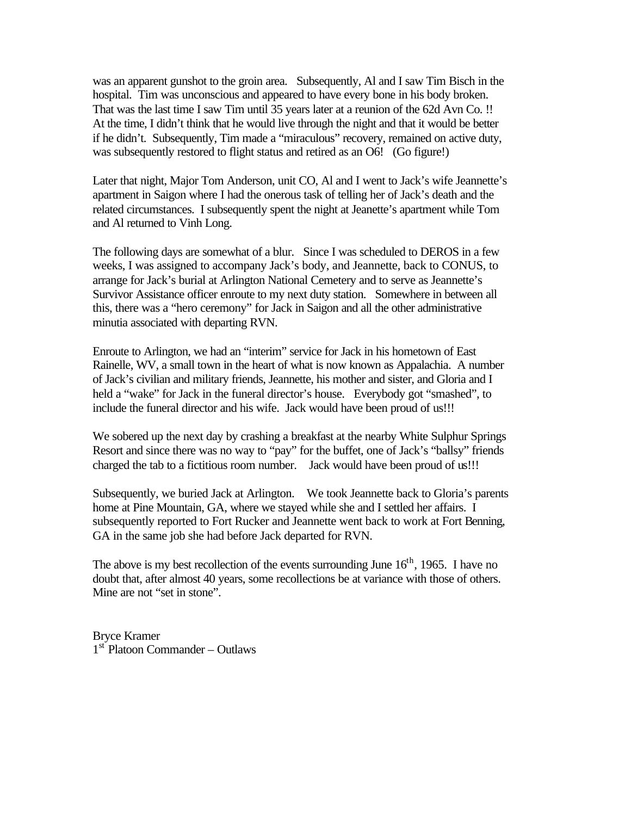was an apparent gunshot to the groin area. Subsequently, Al and I saw Tim Bisch in the hospital. Tim was unconscious and appeared to have every bone in his body broken. That was the last time I saw Tim until 35 years later at a reunion of the 62d Avn Co. !! At the time, I didn't think that he would live through the night and that it would be better if he didn't. Subsequently, Tim made a "miraculous" recovery, remained on active duty, was subsequently restored to flight status and retired as an O6! (Go figure!)

Later that night, Major Tom Anderson, unit CO, Al and I went to Jack's wife Jeannette's apartment in Saigon where I had the onerous task of telling her of Jack's death and the related circumstances. I subsequently spent the night at Jeanette's apartment while Tom and Al returned to Vinh Long.

The following days are somewhat of a blur. Since I was scheduled to DEROS in a few weeks, I was assigned to accompany Jack's body, and Jeannette, back to CONUS, to arrange for Jack's burial at Arlington National Cemetery and to serve as Jeannette's Survivor Assistance officer enroute to my next duty station. Somewhere in between all this, there was a "hero ceremony" for Jack in Saigon and all the other administrative minutia associated with departing RVN.

Enroute to Arlington, we had an "interim" service for Jack in his hometown of East Rainelle, WV, a small town in the heart of what is now known as Appalachia. A number of Jack's civilian and military friends, Jeannette, his mother and sister, and Gloria and I held a "wake" for Jack in the funeral director's house. Everybody got "smashed", to include the funeral director and his wife. Jack would have been proud of us!!!

We sobered up the next day by crashing a breakfast at the nearby White Sulphur Springs Resort and since there was no way to "pay" for the buffet, one of Jack's "ballsy" friends charged the tab to a fictitious room number. Jack would have been proud of us!!!

Subsequently, we buried Jack at Arlington. We took Jeannette back to Gloria's parents home at Pine Mountain, GA, where we stayed while she and I settled her affairs. I subsequently reported to Fort Rucker and Jeannette went back to work at Fort Benning, GA in the same job she had before Jack departed for RVN.

The above is my best recollection of the events surrounding June  $16<sup>th</sup>$ , 1965. I have no doubt that, after almost 40 years, some recollections be at variance with those of others. Mine are not "set in stone".

Bryce Kramer 1<sup>st</sup> Platoon Commander – Outlaws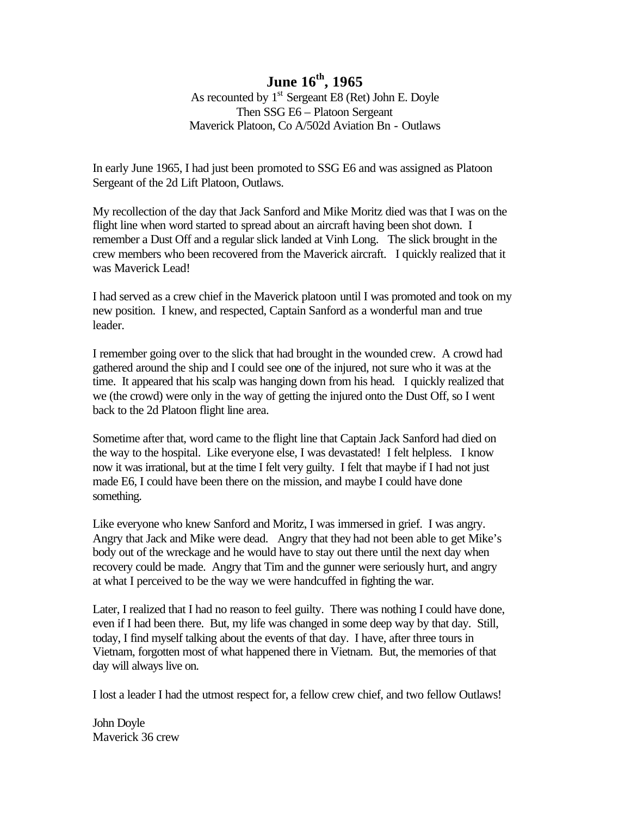As recounted by  $1<sup>st</sup>$  Sergeant E8 (Ret) John E. Doyle Then SSG E6 – Platoon Sergeant Maverick Platoon, Co A/502d Aviation Bn - Outlaws

In early June 1965, I had just been promoted to SSG E6 and was assigned as Platoon Sergeant of the 2d Lift Platoon, Outlaws.

My recollection of the day that Jack Sanford and Mike Moritz died was that I was on the flight line when word started to spread about an aircraft having been shot down. I remember a Dust Off and a regular slick landed at Vinh Long. The slick brought in the crew members who been recovered from the Maverick aircraft. I quickly realized that it was Maverick Lead!

I had served as a crew chief in the Maverick platoon until I was promoted and took on my new position. I knew, and respected, Captain Sanford as a wonderful man and true leader.

I remember going over to the slick that had brought in the wounded crew. A crowd had gathered around the ship and I could see one of the injured, not sure who it was at the time. It appeared that his scalp was hanging down from his head. I quickly realized that we (the crowd) were only in the way of getting the injured onto the Dust Off, so I went back to the 2d Platoon flight line area.

Sometime after that, word came to the flight line that Captain Jack Sanford had died on the way to the hospital. Like everyone else, I was devastated! I felt helpless. I know now it was irrational, but at the time I felt very guilty. I felt that maybe if I had not just made E6, I could have been there on the mission, and maybe I could have done something.

Like everyone who knew Sanford and Moritz, I was immersed in grief. I was angry. Angry that Jack and Mike were dead. Angry that they had not been able to get Mike's body out of the wreckage and he would have to stay out there until the next day when recovery could be made. Angry that Tim and the gunner were seriously hurt, and angry at what I perceived to be the way we were handcuffed in fighting the war.

Later, I realized that I had no reason to feel guilty. There was nothing I could have done, even if I had been there. But, my life was changed in some deep way by that day. Still, today, I find myself talking about the events of that day. I have, after three tours in Vietnam, forgotten most of what happened there in Vietnam. But, the memories of that day will always live on.

I lost a leader I had the utmost respect for, a fellow crew chief, and two fellow Outlaws!

John Doyle Maverick 36 crew